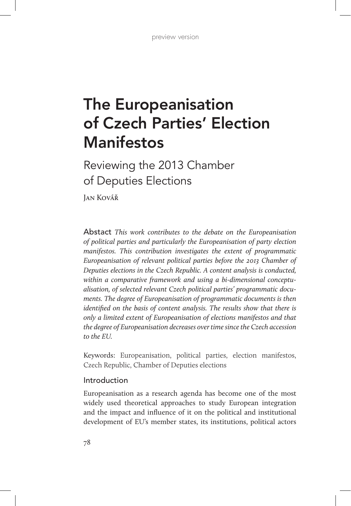# The Europeanisation of Czech Parties' Election Manifestos

Reviewing the 2013 Chamber of Deputies Elections

Jan Kovář

Abstact *This work contributes to the debate on the Europeanisation of political parties and particularly the Europeanisation of party election manifestos. This contribution investigates the extent of programmatic Europeanisation of relevant political parties before the 2013 Chamber of Deputies elections in the Czech Republic. A content analysis is conducted, within a comparative framework and using a bi-dimensional conceptualisation, of selected relevant Czech political parties' programmatic documents. The degree of Europeanisation of programmatic documents is then identified on the basis of content analysis. The results show that there is only a limited extent of Europeanisation of elections manifestos and that the degree of Europeanisation decreases over time since the Czech accession to the EU.*

Keywords: Europeanisation, political parties, election manifestos, Czech Republic, Chamber of Deputies elections

# Introduction

Europeanisation as a research agenda has become one of the most widely used theoretical approaches to study European integration and the impact and influence of it on the political and institutional development of EU's member states, its institutions, political actors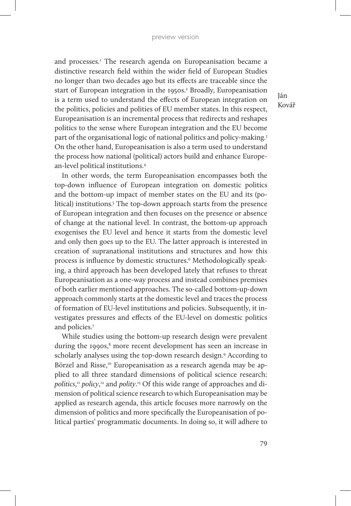and processes.<sup>1</sup> The research agenda on Europeanisation became a distinctive research field within the wider field of European Studies no longer than two decades ago but its effects are traceable since the start of European integration in the 1950s.<sup>2</sup> Broadly, Europeanisation is a term used to understand the effects of European integration on the politics, policies and polities of EU member states. In this respect, Europeanisation is an incremental process that redirects and reshapes politics to the sense where European integration and the EU become part of the organisational logic of national politics and policy-making.3 On the other hand, Europeanisation is also a term used to understand the process how national (political) actors build and enhance European-level political institutions.4

In other words, the term Europeanisation encompasses both the top-down influence of European integration on domestic politics and the bottom-up impact of member states on the EU and its (political) institutions.<sup>5</sup> The top-down approach starts from the presence of European integration and then focuses on the presence or absence of change at the national level. In contrast, the bottom-up approach exogenises the EU level and hence it starts from the domestic level and only then goes up to the EU. The latter approach is interested in creation of supranational institutions and structures and how this process is influence by domestic structures.<sup>6</sup> Methodologically speaking, a third approach has been developed lately that refuses to threat Europeanisation as a one-way process and instead combines premises of both earlier mentioned approaches. The so-called bottom-up-down approach commonly starts at the domestic level and traces the process of formation of EU-level institutions and policies. Subsequently, it investigates pressures and effects of the EU-level on domestic politics and policies.7

While studies using the bottom-up research design were prevalent during the 1990s,<sup>8</sup> more recent development has seen an increase in scholarly analyses using the top-down research design.<sup>9</sup> According to Börzel and Risse,<sup>10</sup> Europeanisation as a research agenda may be applied to all three standard dimensions of political science research: *politics*, <sup>11</sup> *policy*, 12 and *polity*. 13 Of this wide range of approaches and dimension of political science research to which Europeanisation may be applied as research agenda, this article focuses more narrowly on the dimension of politics and more specifically the Europeanisation of political parties' programmatic documents. In doing so, it will adhere to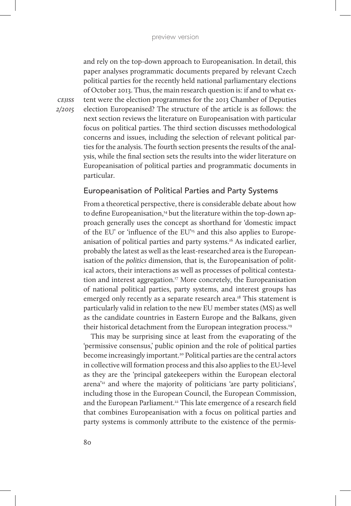and rely on the top-down approach to Europeanisation. In detail, this paper analyses programmatic documents prepared by relevant Czech political parties for the recently held national parliamentary elections of October 2013. Thus, the main research question is: if and to what extent were the election programmes for the 2013 Chamber of Deputies election Europeanised? The structure of the article is as follows: the next section reviews the literature on Europeanisation with particular focus on political parties. The third section discusses methodological concerns and issues, including the selection of relevant political parties for the analysis. The fourth section presents the results of the analysis, while the final section sets the results into the wider literature on Europeanisation of political parties and programmatic documents in particular.

# Europeanisation of Political Parties and Party Systems

From a theoretical perspective, there is considerable debate about how to define Europeanisation,<sup>14</sup> but the literature within the top-down approach generally uses the concept as shorthand for 'domestic impact of the EU' or 'influence of the EU'15 and this also applies to Europeanisation of political parties and party systems.<sup>16</sup> As indicated earlier, probably the latest as well as the least-researched area is the Europeanisation of the *politics* dimension, that is, the Europeanisation of political actors, their interactions as well as processes of political contestation and interest aggregation.<sup>17</sup> More concretely, the Europeanisation of national political parties, party systems, and interest groups has emerged only recently as a separate research area.<sup>18</sup> This statement is particularly valid in relation to the new EU member states (MS) as well as the candidate countries in Eastern Europe and the Balkans, given their historical detachment from the European integration process.19

This may be surprising since at least from the evaporating of the 'permissive consensus,' public opinion and the role of political parties become increasingly important.<sup>20</sup> Political parties are the central actors in collective will formation process and this also applies to the EU-level as they are the 'principal gatekeepers within the European electoral arena'21 and where the majority of politicians 'are party politicians', including those in the European Council, the European Commission, and the European Parliament.<sup>22</sup> This late emergence of a research field that combines Europeanisation with a focus on political parties and party systems is commonly attribute to the existence of the permis-

*cejiss 2/2015*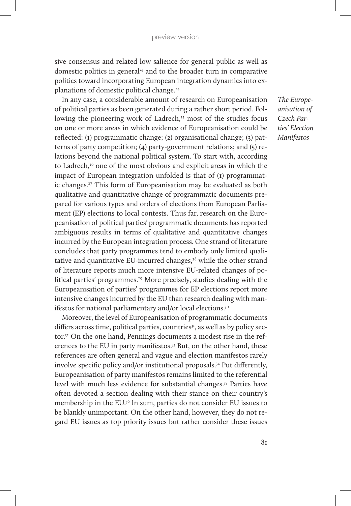sive consensus and related low salience for general public as well as domestic politics in general<sup>23</sup> and to the broader turn in comparative politics toward incorporating European integration dynamics into explanations of domestic political change.<sup>24</sup>

In any case, a considerable amount of research on Europeanisation of political parties as been generated during a rather short period. Following the pioneering work of Ladrech,<sup>25</sup> most of the studies focus on one or more areas in which evidence of Europeanisation could be reflected: (1) programmatic change; (2) organisational change; (3) patterns of party competition; (4) party-government relations; and (5) relations beyond the national political system. To start with, according to Ladrech,<sup>26</sup> one of the most obvious and explicit areas in which the impact of European integration unfolded is that of (1) programmatic changes.27 This form of Europeanisation may be evaluated as both qualitative and quantitative change of programmatic documents prepared for various types and orders of elections from European Parliament (EP) elections to local contests. Thus far, research on the Europeanisation of political parties' programmatic documents has reported ambiguous results in terms of qualitative and quantitative changes incurred by the European integration process. One strand of literature concludes that party programmes tend to embody only limited qualitative and quantitative EU-incurred changes, $28$  while the other strand of literature reports much more intensive EU-related changes of political parties' programmes.<sup>29</sup> More precisely, studies dealing with the Europeanisation of parties' programmes for EP elections report more intensive changes incurred by the EU than research dealing with manifestos for national parliamentary and/or local elections.<sup>30</sup>

Moreover, the level of Europeanisation of programmatic documents differs across time, political parties, countries<sup>31</sup>, as well as by policy sector.<sup>32</sup> On the one hand, Pennings documents a modest rise in the references to the EU in party manifestos.<sup>33</sup> But, on the other hand, these references are often general and vague and election manifestos rarely involve specific policy and/or institutional proposals.34 Put differently, Europeanisation of party manifestos remains limited to the referential level with much less evidence for substantial changes.35 Parties have often devoted a section dealing with their stance on their country's membership in the EU.36 In sum, parties do not consider EU issues to be blankly unimportant. On the other hand, however, they do not regard EU issues as top priority issues but rather consider these issues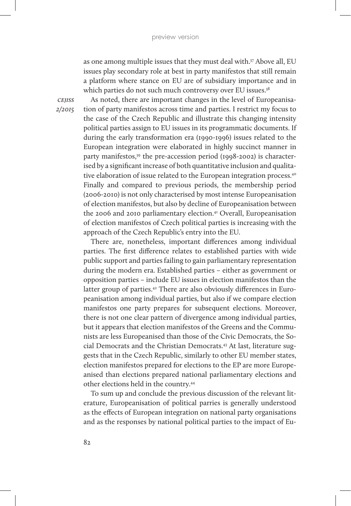as one among multiple issues that they must deal with.37 Above all, EU issues play secondary role at best in party manifestos that still remain a platform where stance on EU are of subsidiary importance and in which parties do not such much controversy over EU issues.<sup>38</sup>

*cejiss 2/2015*

As noted, there are important changes in the level of Europeanisation of party manifestos across time and parties. I restrict my focus to the case of the Czech Republic and illustrate this changing intensity political parties assign to EU issues in its programmatic documents. If during the early transformation era (1990-1996) issues related to the European integration were elaborated in highly succinct manner in party manifestos,<sup>39</sup> the pre-accession period (1998-2002) is characterised by a significant increase of both quantitative inclusion and qualitative elaboration of issue related to the European integration process.40 Finally and compared to previous periods, the membership period (2006-2010) is not only characterised by most intense Europeanisation of election manifestos, but also by decline of Europeanisation between the 2006 and 2010 parliamentary election.41 Overall, Europeanisation of election manifestos of Czech political parties is increasing with the approach of the Czech Republic's entry into the EU.

There are, nonetheless, important differences among individual parties. The first difference relates to established parties with wide public support and parties failing to gain parliamentary representation during the modern era. Established parties – either as government or opposition parties – include EU issues in election manifestos than the latter group of parties.<sup>42</sup> There are also obviously differences in Europeanisation among individual parties, but also if we compare election manifestos one party prepares for subsequent elections. Moreover, there is not one clear pattern of divergence among individual parties, but it appears that election manifestos of the Greens and the Communists are less Europeanised than those of the Civic Democrats, the Social Democrats and the Christian Democrats.43 At last, literature suggests that in the Czech Republic, similarly to other EU member states, election manifestos prepared for elections to the EP are more Europeanised than elections prepared national parliamentary elections and other elections held in the country.44

To sum up and conclude the previous discussion of the relevant literature, Europeanisation of political parries is generally understood as the effects of European integration on national party organisations and as the responses by national political parties to the impact of Eu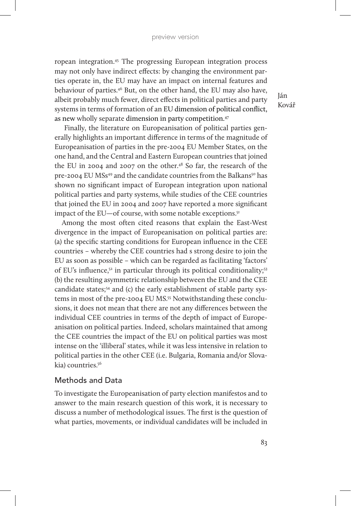ropean integration.45 The progressing European integration process may not only have indirect effects: by changing the environment parties operate in, the EU may have an impact on internal features and behaviour of parties.46 But, on the other hand, the EU may also have, albeit probably much fewer, direct effects in political parties and party systems in terms of formation of an EU dimension of political conflict, as new wholly separate dimension in party competition.47

 Finally, the literature on Europeanisation of political parties generally highlights an important difference in terms of the magnitude of Europeanisation of parties in the pre-2004 EU Member States, on the one hand, and the Central and Eastern European countries that joined the EU in 2004 and 2007 on the other.<sup>48</sup> So far, the research of the pre-2004 EU MSs<sup>49</sup> and the candidate countries from the Balkans<sup>50</sup> has shown no significant impact of European integration upon national political parties and party systems, while studies of the CEE countries that joined the EU in 2004 and 2007 have reported a more significant impact of the EU—of course, with some notable exceptions.<sup>51</sup>

Among the most often cited reasons that explain the East-West divergence in the impact of Europeanisation on political parties are: (a) the specific starting conditions for European influence in the CEE countries – whereby the CEE countries had s strong desire to join the EU as soon as possible – which can be regarded as facilitating 'factors' of EU's influence, $5^2$  in particular through its political conditionality; $5^3$ (b) the resulting asymmetric relationship between the EU and the CEE candidate states;<sup>54</sup> and (c) the early establishment of stable party systems in most of the pre-2004 EU MS.<sup>55</sup> Notwithstanding these conclusions, it does not mean that there are not any differences between the individual CEE countries in terms of the depth of impact of Europeanisation on political parties. Indeed, scholars maintained that among the CEE countries the impact of the EU on political parties was most intense on the 'illiberal' states, while it was less intensive in relation to political parties in the other CEE (i.e. Bulgaria, Romania and/or Slovakia) countries.56

#### Methods and Data

To investigate the Europeanisation of party election manifestos and to answer to the main research question of this work, it is necessary to discuss a number of methodological issues. The first is the question of what parties, movements, or individual candidates will be included in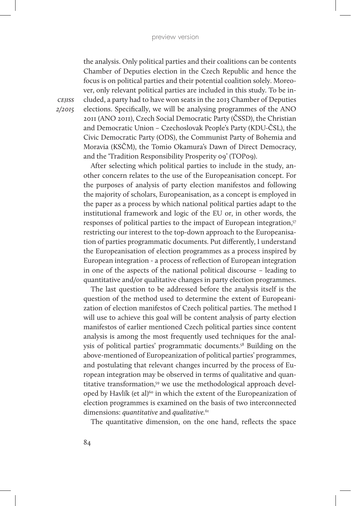the analysis. Only political parties and their coalitions can be contents Chamber of Deputies election in the Czech Republic and hence the focus is on political parties and their potential coalition solely. Moreover, only relevant political parties are included in this study. To be included, a party had to have won seats in the 2013 Chamber of Deputies elections. Specifically, we will be analysing programmes of the ANO 2011 (ANO 2011), Czech Social Democratic Party (ČSSD), the Christian and Democratic Union *–* Czechoslovak People's Party (KDU-ČSL), the Civic Democratic Party (ODS), the Communist Party of Bohemia and Moravia (KSČM), the Tomio Okamura's Dawn of Direct Democracy, and the 'Tradition Responsibility Prosperity 09' (TOP09).

After selecting which political parties to include in the study, another concern relates to the use of the Europeanisation concept. For the purposes of analysis of party election manifestos and following the majority of scholars, Europeanisation, as a concept is employed in the paper as a process by which national political parties adapt to the institutional framework and logic of the EU or, in other words, the responses of political parties to the impact of European integration,<sup>57</sup> restricting our interest to the top-down approach to the Europeanisation of parties programmatic documents. Put differently, I understand the Europeanisation of election programmes as a process inspired by European integration - a process of reflection of European integration in one of the aspects of the national political discourse – leading to quantitative and/or qualitative changes in party election programmes.

The last question to be addressed before the analysis itself is the question of the method used to determine the extent of Europeanization of election manifestos of Czech political parties. The method I will use to achieve this goal will be content analysis of party election manifestos of earlier mentioned Czech political parties since content analysis is among the most frequently used techniques for the analysis of political parties' programmatic documents.58 Building on the above-mentioned of Europeanization of political parties' programmes, and postulating that relevant changes incurred by the process of European integration may be observed in terms of qualitative and quantitative transformation,<sup>59</sup> we use the methodological approach developed by Havlík (et al)<sup>60</sup> in which the extent of the Europeanization of election programmes is examined on the basis of two interconnected dimensions: *quantitative* and *qualitative.*<sup>61</sup>

The quantitative dimension, on the one hand, reflects the space

*cejiss 2/2015*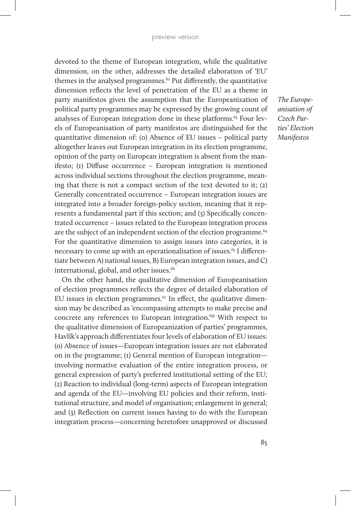devoted to the theme of European integration, while the qualitative dimension, on the other, addresses the detailed elaboration of 'EU' themes in the analysed programmes. $62$  Put differently, the quantitative dimension reflects the level of penetration of the EU as a theme in party manifestos given the assumption that the Europeanization of political party programmes may be expressed by the growing count of analyses of European integration done in these platforms.<sup>63</sup> Four levels of Europeanisation of party manifestos are distinguished for the quantitative dimension of: (0) Absence of EU issues – political party altogether leaves out European integration in its election programme, opinion of the party on European integration is absent from the manifesto; (1) Diffuse occurrence – European integration is mentioned across individual sections throughout the election programme, meaning that there is not a compact section of the text devoted to it; (2) Generally concentrated occurrence – European integration issues are integrated into a broader foreign-policy section, meaning that it represents a fundamental part if this section; and (3) Specifically concentrated occurrence – issues related to the European integration process are the subject of an independent section of the election programme.<sup>64</sup> For the quantitative dimension to assign issues into categories, it is necessary to come up with an operationalisation of issues.<sup>65</sup> I differentiate between A) national issues, B) European integration issues, and C) international, global, and other issues.<sup>66</sup>

On the other hand, the qualitative dimension of Europeanisation of election programmes reflects the degree of detailed elaboration of EU issues in election programmes. $67$  In effect, the qualitative dimension may be described as 'encompassing attempts to make precise and concrete any references to European integration.'68 With respect to the qualitative dimension of Europeanization of parties' programmes, Havlík's approach differentiates four levels of elaboration of EU issues: (0) Absence of issues—European integration issues are not elaborated on in the programme; (1) General mention of European integration involving normative evaluation of the entire integration process, or general expression of party's preferred institutional setting of the EU; (2) Reaction to individual (long-term) aspects of European integration and agenda of the EU—involving EU policies and their reform, institutional structure, and model of organisation; enlargement in general; and (3) Reflection on current issues having to do with the European integration process—concerning heretofore unapproved or discussed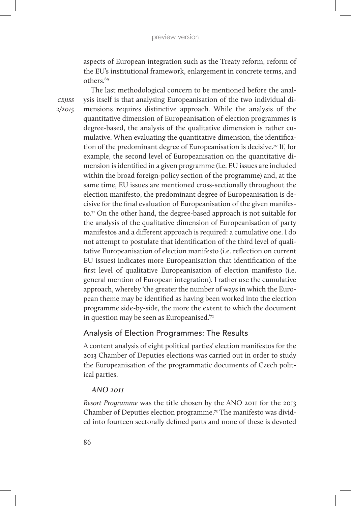aspects of European integration such as the Treaty reform, reform of the EU's institutional framework, enlargement in concrete terms, and others.69

*cejiss 2/2015*

The last methodological concern to be mentioned before the analysis itself is that analysing Europeanisation of the two individual dimensions requires distinctive approach. While the analysis of the quantitative dimension of Europeanisation of election programmes is degree-based, the analysis of the qualitative dimension is rather cumulative. When evaluating the quantitative dimension, the identification of the predominant degree of Europeanisation is decisive.70 If, for example, the second level of Europeanisation on the quantitative dimension is identified in a given programme (i.e. EU issues are included within the broad foreign-policy section of the programme) and, at the same time, EU issues are mentioned cross-sectionally throughout the election manifesto, the predominant degree of Europeanisation is decisive for the final evaluation of Europeanisation of the given manifesto.71 On the other hand, the degree-based approach is not suitable for the analysis of the qualitative dimension of Europeanisation of party manifestos and a different approach is required: a cumulative one. I do not attempt to postulate that identification of the third level of qualitative Europeanisation of election manifesto (i.e. reflection on current EU issues) indicates more Europeanisation that identification of the first level of qualitative Europeanisation of election manifesto (i.e. general mention of European integration). I rather use the cumulative approach, whereby 'the greater the number of ways in which the European theme may be identified as having been worked into the election programme side-by-side, the more the extent to which the document in question may be seen as Europeanised.'72

## Analysis of Election Programmes: The Results

A content analysis of eight political parties' election manifestos for the 2013 Chamber of Deputies elections was carried out in order to study the Europeanisation of the programmatic documents of Czech political parties.

## *ANO 2011*

*Resort Programme* was the title chosen by the ANO 2011 for the 2013 Chamber of Deputies election programme.73 The manifesto was divided into fourteen sectorally defined parts and none of these is devoted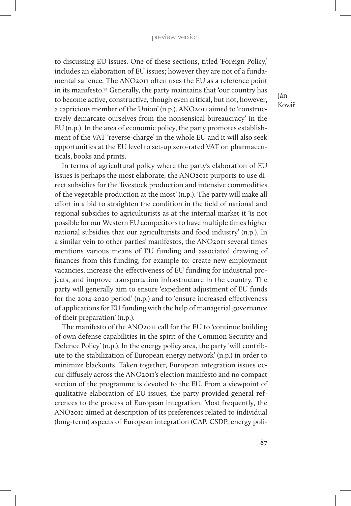to discussing EU issues. One of these sections, titled 'Foreign Policy,' includes an elaboration of EU issues; however they are not of a fundamental salience. The ANO2011 often uses the EU as a reference point in its manifesto.74 Generally, the party maintains that 'our country has to become active, constructive, though even critical, but not, however, a capricious member of the Union' (n.p.). ANO2011 aimed to 'constructively demarcate ourselves from the nonsensical bureaucracy' in the EU (n.p.). In the area of economic policy, the party promotes establishment of the VAT 'reverse-charge' in the whole EU and it will also seek opportunities at the EU level to set-up zero-rated VAT on pharmaceuticals, books and prints.

In terms of agricultural policy where the party's elaboration of EU issues is perhaps the most elaborate, the ANO2011 purports to use direct subsidies for the 'livestock production and intensive commodities of the vegetable production at the most' (n.p.). The party will make all effort in a bid to straighten the condition in the field of national and regional subsidies to agriculturists as at the internal market it 'is not possible for our Western EU competitors to have multiple times higher national subsidies that our agriculturists and food industry' (n.p.). In a similar vein to other parties' manifestos, the ANO2011 several times mentions various means of EU funding and associated drawing of finances from this funding, for example to: create new employment vacancies, increase the effectiveness of EU funding for industrial projects, and improve transportation infrastructure in the country. The party will generally aim to ensure 'expedient adjustment of EU funds for the 2014-2020 period' (n.p.) and to 'ensure increased effectiveness of applications for EU funding with the help of managerial governance of their preparation' (n.p.).

The manifesto of the ANO2011 call for the EU to 'continue building of own defense capabilities in the spirit of the Common Security and Defence Policy' (n.p.). In the energy policy area, the party 'will contribute to the stabilization of European energy network' (n.p.) in order to minimize blackouts. Taken together, European integration issues occur diffusely across the ANO2011's election manifesto and no compact section of the programme is devoted to the EU. From a viewpoint of qualitative elaboration of EU issues, the party provided general references to the process of European integration. Most frequently, the ANO2011 aimed at description of its preferences related to individual (long-term) aspects of European integration (CAP, CSDP, energy poli-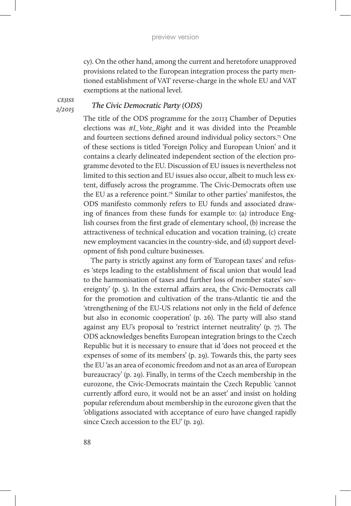cy). On the other hand, among the current and heretofore unapproved provisions related to the European integration process the party mentioned establishment of VAT reverse-charge in the whole EU and VAT exemptions at the national level.

*cejiss 2/2015*

#### *The Civic Democratic Party (ODS)*

The title of the ODS programme for the 20113 Chamber of Deputies elections was *#I\_Vote\_Right* and it was divided into the Preamble and fourteen sections defined around individual policy sectors.75 One of these sections is titled 'Foreign Policy and European Union' and it contains a clearly delineated independent section of the election programme devoted to the EU. Discussion of EU issues is nevertheless not limited to this section and EU issues also occur, albeit to much less extent, diffusely across the programme. The Civic-Democrats often use the EU as a reference point.<sup>76</sup> Similar to other parties' manifestos, the ODS manifesto commonly refers to EU funds and associated drawing of finances from these funds for example to: (a) introduce English courses from the first grade of elementary school, (b) increase the attractiveness of technical education and vocation training, (c) create new employment vacancies in the country-side, and (d) support development of fish pond culture businesses.

The party is strictly against any form of 'European taxes' and refuses 'steps leading to the establishment of fiscal union that would lead to the harmonisation of taxes and further loss of member states' sovereignty' (p. 5). In the external affairs area, the Civic-Democrats call for the promotion and cultivation of the trans-Atlantic tie and the 'strengthening of the EU-US relations not only in the field of defence but also in economic cooperation' (p. 26). The party will also stand against any EU's proposal to 'restrict internet neutrality' (p. 7). The ODS acknowledges benefits European integration brings to the Czech Republic but it is necessary to ensure that id 'does not proceed et the expenses of some of its members' (p. 29). Towards this, the party sees the EU 'as an area of economic freedom and not as an area of European bureaucracy' (p. 29). Finally, in terms of the Czech membership in the eurozone, the Civic-Democrats maintain the Czech Republic 'cannot currently afford euro, it would not be an asset' and insist on holding popular referendum about membership in the eurozone given that the 'obligations associated with acceptance of euro have changed rapidly since Czech accession to the EU' (p. 29).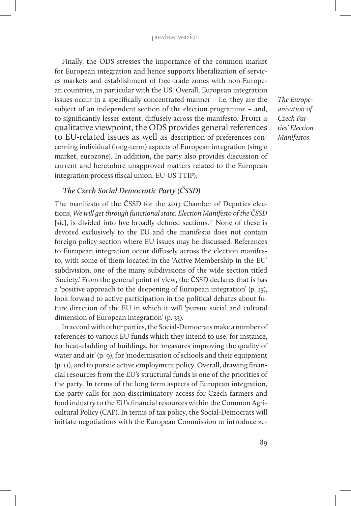Finally, the ODS stresses the importance of the common market for European integration and hence supports liberalization of services markets and establishment of free-trade zones with non-European countries, in particular with the US. Overall, European integration issues occur in a specifically concentrated manner – i.e. they are the subject of an independent section of the election programme – and, to significantly lesser extent, diffusely across the manifesto. From a qualitative viewpoint, the ODS provides general references to EU-related issues as well as description of preferences concerning individual (long-term) aspects of European integration (single market, eurozone). In addition, the party also provides discussion of current and heretofore unapproved matters related to the European integration process (fiscal union, EU-US TTIP).

# *The Czech Social Democratic Party (ČSSD)*

The manifesto of the ČSSD for the 2013 Chamber of Deputies elections, *We will get through functional state: Election Manifesto of the ČSSD*  [sic], is divided into five broadly defined sections.<sup>77</sup> None of these is devoted exclusively to the EU and the manifesto does not contain foreign policy section where EU issues may be discussed. References to European integration occur diffusely across the election manifesto, with some of them located in the 'Active Membership in the EU' subdivision, one of the many subdivisions of the wide section titled 'Society.' From the general point of view, the ČSSD declares that is has a 'positive approach to the deepening of European integration' (p. 15), look forward to active participation in the political debates about future direction of the EU in which it will 'pursue social and cultural dimension of European integration' (p. 33).

In accord with other parties, the Social-Democrats make a number of references to various EU funds which they intend to use, for instance, for heat-cladding of buildings, for 'measures improving the quality of water and air' (p. 9), for 'modernisation of schools and their equipment (p. 11), and to pursue active employment policy. Overall, drawing financial resources from the EU's structural funds is one of the priorities of the party. In terms of the long term aspects of European integration, the party calls for non-discriminatory access for Czech farmers and food industry to the EU's financial resources within the Common Agricultural Policy (CAP). In terms of tax policy, the Social-Democrats will initiate negotiations with the European Commission to introduce ze-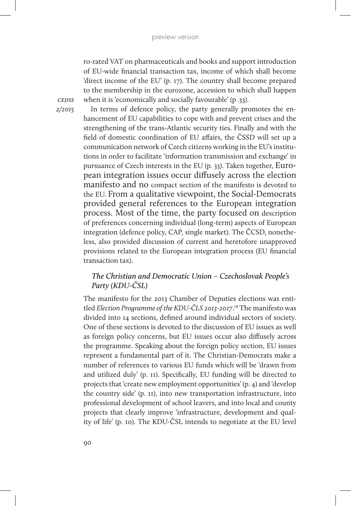ro-rated VAT on pharmaceuticals and books and support introduction of EU-wide financial transaction tax, income of which shall become 'direct income of the EU' (p. 17). The country shall become prepared to the membership in the eurozone, accession to which shall happen when it is 'economically and socially favourable' (p .33).

*cejiss 2/2015*

In terms of defence policy, the party generally promotes the enhancement of EU capabilities to cope with and prevent crises and the strengthening of the trans-Atlantic security ties. Finally and with the field of domestic coordination of EU affairs, the ČSSD will set up a communication network of Czech citizens working in the EU's institutions in order to facilitate 'information transmission and exchange' in pursuance of Czech interests in the EU (p. 33). Taken together, European integration issues occur diffusely across the election manifesto and no compact section of the manifesto is devoted to the EU. From a qualitative viewpoint, the Social-Democrats provided general references to the European integration process. Most of the time, the party focused on description of preferences concerning individual (long-term) aspects of European integration (defence policy, CAP, single market). The ČCSD, nonetheless, also provided discussion of current and heretofore unapproved provisions related to the European integration process (EU financial transaction tax).

# *The Christian and Democratic Union – Czechoslovak People's Party (KDU-ČSL)*

The manifesto for the 2013 Chamber of Deputies elections was entitled *Election Programme of the KDU-ČLS 2013-2017*. 78 The manifesto was divided into 14 sections, defined around individual sectors of society. One of these sections is devoted to the discussion of EU issues as well as foreign policy concerns, but EU issues occur also diffusely across the programme. Speaking about the foreign policy section, EU issues represent a fundamental part of it. The Christian-Democrats make a number of references to various EU funds which will be 'drawn from and utilized duly' (p. 11). Specifically, EU funding will be directed to projects that 'create new employment opportunities' (p. 4) and 'develop the country side' (p. 11), into new transportation infrastructure, into professional development of school leavers, and into local and county projects that clearly improve 'infrastructure, development and quality of life' (p. 10). The KDU-ČSL intends to negotiate at the EU level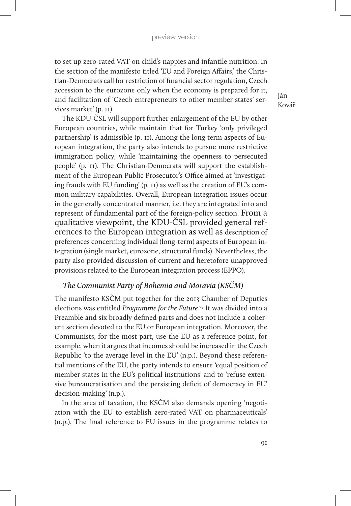to set up zero-rated VAT on child's nappies and infantile nutrition. In the section of the manifesto titled 'EU and Foreign Affairs,' the Christian-Democrats call for restriction of financial sector regulation, Czech accession to the eurozone only when the economy is prepared for it, and facilitation of 'Czech entrepreneurs to other member states' services market' (p. 11).

Ján Kovář

The KDU-ČSL will support further enlargement of the EU by other European countries, while maintain that for Turkey 'only privileged partnership' is admissible (p. 11). Among the long term aspects of European integration, the party also intends to pursue more restrictive immigration policy, while 'maintaining the openness to persecuted people' (p. 11). The Christian-Democrats will support the establishment of the European Public Prosecutor's Office aimed at 'investigating frauds with EU funding' (p. 11) as well as the creation of EU's common military capabilities. Overall, European integration issues occur in the generally concentrated manner, i.e. they are integrated into and represent of fundamental part of the foreign-policy section. From a qualitative viewpoint, the KDU-ČSL provided general references to the European integration as well as description of preferences concerning individual (long-term) aspects of European integration (single market, eurozone, structural funds). Nevertheless, the party also provided discussion of current and heretofore unapproved provisions related to the European integration process (EPPO).

#### *The Communist Party of Bohemia and Moravia (KSČM)*

The manifesto KSČM put together for the 2013 Chamber of Deputies elections was entitled *Programme for the Future*. 79 It was divided into a Preamble and six broadly defined parts and does not include a coherent section devoted to the EU or European integration. Moreover, the Communists, for the most part, use the EU as a reference point, for example, when it argues that incomes should be increased in the Czech Republic 'to the average level in the EU' (n.p.). Beyond these referential mentions of the EU, the party intends to ensure 'equal position of member states in the EU's political institutions' and to 'refuse extensive bureaucratisation and the persisting deficit of democracy in EU' decision-making' (n.p.).

In the area of taxation, the KSČM also demands opening 'negotiation with the EU to establish zero-rated VAT on pharmaceuticals' (n.p.). The final reference to EU issues in the programme relates to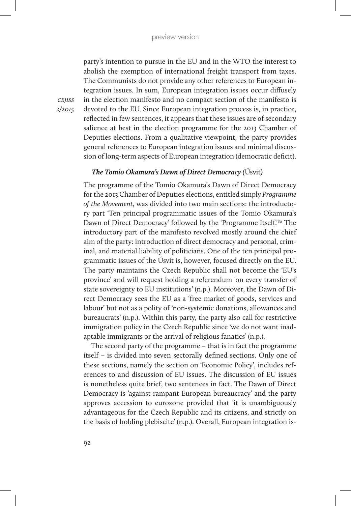party's intention to pursue in the EU and in the WTO the interest to abolish the exemption of international freight transport from taxes. The Communists do not provide any other references to European integration issues. In sum, European integration issues occur diffusely in the election manifesto and no compact section of the manifesto is devoted to the EU. Since European integration process is, in practice, reflected in few sentences, it appears that these issues are of secondary salience at best in the election programme for the 2013 Chamber of Deputies elections. From a qualitative viewpoint, the party provides general references to European integration issues and minimal discussion of long-term aspects of European integration (democratic deficit).

# *The Tomio Okamura's Dawn of Direct Democracy (*Úsvit*)*

The programme of the Tomio Okamura's Dawn of Direct Democracy for the 2013 Chamber of Deputies elections, entitled simply *Programme of the Movement*, was divided into two main sections: the introductory part 'Ten principal programmatic issues of the Tomio Okamura's Dawn of Direct Democracy' followed by the 'Programme Itself.<sup>'80</sup> The introductory part of the manifesto revolved mostly around the chief aim of the party: introduction of direct democracy and personal, criminal, and material liability of politicians. One of the ten principal programmatic issues of the Úsvit is, however, focused directly on the EU. The party maintains the Czech Republic shall not become the 'EU's province' and will request holding a referendum 'on every transfer of state sovereignty to EU institutions' (n.p.). Moreover, the Dawn of Direct Democracy sees the EU as a 'free market of goods, services and labour' but not as a polity of 'non-systemic donations, allowances and bureaucrats' (n.p.). Within this party, the party also call for restrictive immigration policy in the Czech Republic since 'we do not want inadaptable immigrants or the arrival of religious fanatics' (n.p.).

The second party of the programme – that is in fact the programme itself – is divided into seven sectorally defined sections. Only one of these sections, namely the section on 'Economic Policy', includes references to and discussion of EU issues. The discussion of EU issues is nonetheless quite brief, two sentences in fact. The Dawn of Direct Democracy is 'against rampant European bureaucracy' and the party approves accession to eurozone provided that 'it is unambiguously advantageous for the Czech Republic and its citizens, and strictly on the basis of holding plebiscite' (n.p.). Overall, European integration is-

*cejiss 2/2015*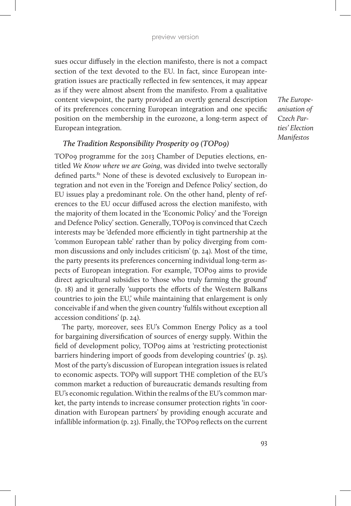sues occur diffusely in the election manifesto, there is not a compact section of the text devoted to the EU. In fact, since European integration issues are practically reflected in few sentences, it may appear as if they were almost absent from the manifesto. From a qualitative content viewpoint, the party provided an overtly general description of its preferences concerning European integration and one specific position on the membership in the eurozone, a long-term aspect of European integration.

*The Europeanisation of Czech Parties' Election Manifestos*

# *The Tradition Responsibility Prosperity 09 (TOP09)*

TOP09 programme for the 2013 Chamber of Deputies elections, entitled *We Know where we are Going*, was divided into twelve sectorally defined parts.<sup>81</sup> None of these is devoted exclusively to European integration and not even in the 'Foreign and Defence Policy' section, do EU issues play a predominant role. On the other hand, plenty of references to the EU occur diffused across the election manifesto, with the majority of them located in the 'Economic Policy' and the 'Foreign and Defence Policy' section. Generally, TOP09 is convinced that Czech interests may be 'defended more efficiently in tight partnership at the 'common European table' rather than by policy diverging from common discussions and only includes criticism' (p. 24). Most of the time, the party presents its preferences concerning individual long-term aspects of European integration. For example, TOP09 aims to provide direct agricultural subsidies to 'those who truly farming the ground' (p. 18) and it generally 'supports the efforts of the Western Balkans countries to join the EU,' while maintaining that enlargement is only conceivable if and when the given country 'fulfils without exception all accession conditions' (p. 24).

The party, moreover, sees EU's Common Energy Policy as a tool for bargaining diversification of sources of energy supply. Within the field of development policy, TOP09 aims at 'restricting protectionist barriers hindering import of goods from developing countries' (p. 25). Most of the party's discussion of European integration issues is related to economic aspects. TOP9 will support THE completion of the EU's common market a reduction of bureaucratic demands resulting from EU's economic regulation. Within the realms of the EU's common market, the party intends to increase consumer protection rights 'in coordination with European partners' by providing enough accurate and infallible information (p. 23). Finally, the TOP09 reflects on the current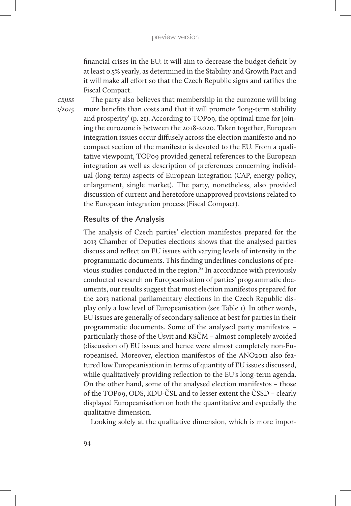financial crises in the EU: it will aim to decrease the budget deficit by at least 0.5% yearly, as determined in the Stability and Growth Pact and it will make all effort so that the Czech Republic signs and ratifies the Fiscal Compact.

*cejiss 2/2015*

The party also believes that membership in the eurozone will bring more benefits than costs and that it will promote 'long-term stability and prosperity' (p. 21). According to TOP09, the optimal time for joining the eurozone is between the 2018-2020. Taken together, European integration issues occur diffusely across the election manifesto and no compact section of the manifesto is devoted to the EU. From a qualitative viewpoint, TOP09 provided general references to the European integration as well as description of preferences concerning individual (long-term) aspects of European integration (CAP, energy policy, enlargement, single market). The party, nonetheless, also provided discussion of current and heretofore unapproved provisions related to the European integration process (Fiscal Compact).

# Results of the Analysis

The analysis of Czech parties' election manifestos prepared for the 2013 Chamber of Deputies elections shows that the analysed parties discuss and reflect on EU issues with varying levels of intensity in the programmatic documents. This finding underlines conclusions of previous studies conducted in the region.<sup>82</sup> In accordance with previously conducted research on Europeanisation of parties' programmatic documents, our results suggest that most election manifestos prepared for the 2013 national parliamentary elections in the Czech Republic display only a low level of Europeanisation (see Table 1). In other words, EU issues are generally of secondary salience at best for parties in their programmatic documents. Some of the analysed party manifestos – particularly those of the Úsvit and KSČM – almost completely avoided (discussion of) EU issues and hence were almost completely non-Europeanised. Moreover, election manifestos of the ANO2011 also featured low Europeanisation in terms of quantity of EU issues discussed, while qualitatively providing reflection to the EU's long-term agenda. On the other hand, some of the analysed election manifestos – those of the TOP09, ODS, KDU-ČSL and to lesser extent the ČSSD – clearly displayed Europeanisation on both the quantitative and especially the qualitative dimension.

Looking solely at the qualitative dimension, which is more impor-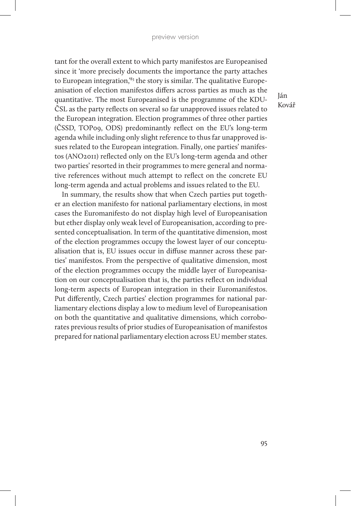tant for the overall extent to which party manifestos are Europeanised since it 'more precisely documents the importance the party attaches to European integration,<sup>83</sup> the story is similar. The qualitative Europeanisation of election manifestos differs across parties as much as the quantitative. The most Europeanised is the programme of the KDU-ČSL as the party reflects on several so far unapproved issues related to the European integration. Election programmes of three other parties (ČSSD, TOP09, ODS) predominantly reflect on the EU's long-term agenda while including only slight reference to thus far unapproved issues related to the European integration. Finally, one parties' manifestos (ANO2011) reflected only on the EU's long-term agenda and other two parties' resorted in their programmes to mere general and normative references without much attempt to reflect on the concrete EU long-term agenda and actual problems and issues related to the EU.

In summary, the results show that when Czech parties put together an election manifesto for national parliamentary elections, in most cases the Euromanifesto do not display high level of Europeanisation but ether display only weak level of Europeanisation, according to presented conceptualisation. In term of the quantitative dimension, most of the election programmes occupy the lowest layer of our conceptualisation that is, EU issues occur in diffuse manner across these parties' manifestos. From the perspective of qualitative dimension, most of the election programmes occupy the middle layer of Europeanisation on our conceptualisation that is, the parties reflect on individual long-term aspects of European integration in their Euromanifestos. Put differently, Czech parties' election programmes for national parliamentary elections display a low to medium level of Europeanisation on both the quantitative and qualitative dimensions, which corroborates previous results of prior studies of Europeanisation of manifestos prepared for national parliamentary election across EU member states.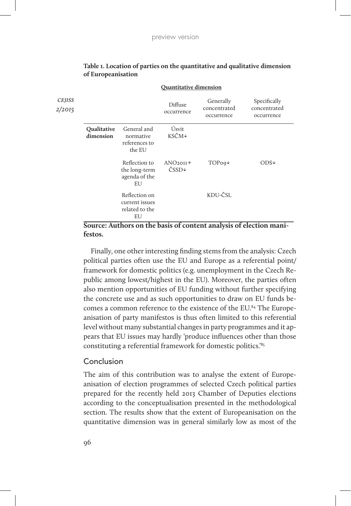| <b>CEJISS</b><br>2/2015 |                          |                                                         | Diffuse<br>occurrence          | Generally<br>concentrated<br>occurrence | Specifically<br>concentrated<br>occurrence |
|-------------------------|--------------------------|---------------------------------------------------------|--------------------------------|-----------------------------------------|--------------------------------------------|
|                         | Qualitative<br>dimension | General and<br>normative<br>references to<br>the EU     | Úsvit<br>KSČM↓                 |                                         |                                            |
|                         |                          | Reflection to<br>the long-term<br>agenda of the<br>EU   | ANO20II<br>$\text{CSSD} \star$ | $TOPoq\downarrow$                       | $ODS+$                                     |
|                         |                          | Reflection on<br>current issues<br>related to the<br>EU |                                | KDU-ČSL                                 |                                            |

#### **Table 1. Location of parties on the quantitative and qualitative dimension of Europeanisation**

**Quantitative dimension**

**Source: Authors on the basis of content analysis of election manifestos.**

Finally, one other interesting finding stems from the analysis: Czech political parties often use the EU and Europe as a referential point/ framework for domestic politics (e.g. unemployment in the Czech Republic among lowest/highest in the EU). Moreover, the parties often also mention opportunities of EU funding without further specifying the concrete use and as such opportunities to draw on EU funds becomes a common reference to the existence of the EU.<sup>84</sup> The Europeanisation of party manifestos is thus often limited to this referential level without many substantial changes in party programmes and it appears that EU issues may hardly 'produce influences other than those constituting a referential framework for domestic politics.'85

#### Conclusion

The aim of this contribution was to analyse the extent of Europeanisation of election programmes of selected Czech political parties prepared for the recently held 2013 Chamber of Deputies elections according to the conceptualisation presented in the methodological section. The results show that the extent of Europeanisation on the quantitative dimension was in general similarly low as most of the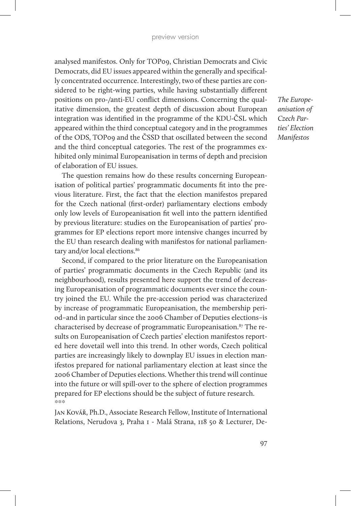analysed manifestos. Only for TOP09, Christian Democrats and Civic Democrats, did EU issues appeared within the generally and specifically concentrated occurrence. Interestingly, two of these parties are considered to be right-wing parties, while having substantially different positions on pro-/anti-EU conflict dimensions. Concerning the qualitative dimension, the greatest depth of discussion about European integration was identified in the programme of the KDU-ČSL which appeared within the third conceptual category and in the programmes of the ODS, TOP09 and the ČSSD that oscillated between the second and the third conceptual categories. The rest of the programmes exhibited only minimal Europeanisation in terms of depth and precision of elaboration of EU issues.

The question remains how do these results concerning Europeanisation of political parties' programmatic documents fit into the previous literature. First, the fact that the election manifestos prepared for the Czech national (first-order) parliamentary elections embody only low levels of Europeanisation fit well into the pattern identified by previous literature: studies on the Europeanisation of parties' programmes for EP elections report more intensive changes incurred by the EU than research dealing with manifestos for national parliamentary and/or local elections.<sup>86</sup>

Second, if compared to the prior literature on the Europeanisation of parties' programmatic documents in the Czech Republic (and its neighbourhood), results presented here support the trend of decreasing Europeanisation of programmatic documents ever since the country joined the EU. While the pre-accession period was characterized by increase of programmatic Europeanisation, the membership period–and in particular since the 2006 Chamber of Deputies elections–is characterised by decrease of programmatic Europeanisation.87 The results on Europeanisation of Czech parties' election manifestos reported here dovetail well into this trend. In other words, Czech political parties are increasingly likely to downplay EU issues in election manifestos prepared for national parliamentary election at least since the 2006 Chamber of Deputies elections. Whether this trend will continue into the future or will spill-over to the sphere of election programmes prepared for EP elections should be the subject of future research.  $\frac{1}{2}$  is  $\frac{1}{2}$  is  $\frac{1}{2}$ 

Jan Kovář, Ph.D., Associate Research Fellow, Institute of International Relations, Nerudova 3, Praha 1 - Malá Strana, 118 50 & Lecturer, De-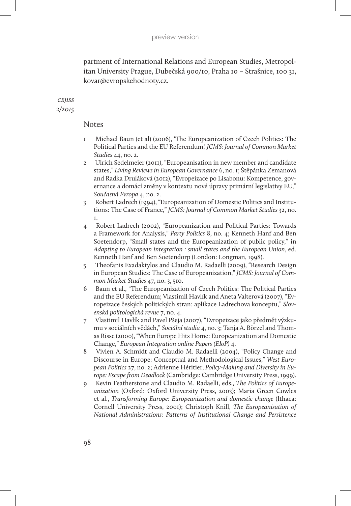partment of International Relations and European Studies, Metropolitan University Prague, Dubečská 900/10, Praha 10 – Strašnice, 100 31, kovar@evropskehodnoty.cz.

#### *cejiss 2/2015*

#### Notes

- 1 Michael Baun (et al) (2006), 'The Europeanization of Czech Politics: The Political Parties and the EU Referendum,' *JCMS: Journal of Common Market Studies* 44, no. 2.
- 2 Ulrich Sedelmeier (2011), "Europeanisation in new member and candidate states," *Living Reviews in European Governance* 6, no. 1; Štěpánka Zemanová and Radka Druláková (2012), "Evropeizace po Lisabonu: Kompetence, governance a domácí změny v kontextu nové úpravy primární legislativy EU," *Současná Evropa* 4, no. 2.
- 3 Robert Ladrech (1994), "Europeanization of Domestic Politics and Institutions: The Case of France," *JCMS: Journal of Common Market Studies* 32, no. 1.
- 4 Robert Ladrech (2002), "Europeanization and Political Parties: Towards a Framework for Analysis," *Party Politics* 8, no. 4; Kenneth Hanf and Ben Soetendorp, "Small states and the Europeanization of public policy," in *Adapting to European integration : small states and the European Union*, ed. Kenneth Hanf and Ben Soetendorp (London: Longman, 1998).
- 5 Theofanis Exadaktylos and Claudio M. Radaelli (2009), "Research Design in European Studies: The Case of Europeanization," *JCMS: Journal of Common Market Studies* 47, no. 3, 510.
- 6 Baun et al., "The Europeanization of Czech Politics: The Political Parties and the EU Referendum; Vlastimil Havlík and Aneta Valterová (2007), "Evropeizace českých politických stran: aplikace Ladrechova konceptu," *Slovenská politologická revue* 7, no. 4.
- 7 Vlastimil Havlík and Pavel Pšeja (2007), "Evropeizace jako předmět výzkumu v sociálních vědách," *Sociální studia* 4, no. 3; Tanja A. Börzel and Thomas Risse (2000), "When Europe Hits Home: Europeanization and Domestic Change," *European Integration online Papers (EIoP)* 4.
- 8 Vivien A. Schmidt and Claudio M. Radaelli (2004), "Policy Change and Discourse in Europe: Conceptual and Methodological Issues," *West European Politics* 27, no. 2; Adrienne Héritier, *Policy-Making and Diversity in Europe: Escape from Deadlock* (Cambridge: Cambridge University Press, 1999).
- 9 Kevin Featherstone and Claudio M. Radaelli, eds., *The Politics of Europeanization* (Oxford: Oxford University Press, 2003); Maria Green Cowles et al., *Transforming Europe: Europeanization and domestic change* (Ithaca: Cornell University Press, 2001); Christoph Knill, *The Europeanisation of National Administrations: Patterns of Institutional Change and Persistence*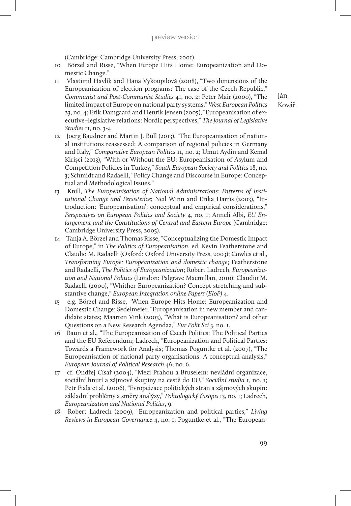(Cambridge: Cambridge University Press, 2001).

- 10 Börzel and Risse, "When Europe Hits Home: Europeanization and Domestic Change."
- 11 Vlastimil Havlík and Hana Vykoupilová (2008), "Two dimensions of the Europeanization of election programs: The case of the Czech Republic," *Communist and Post-Communist Studies* 41, no. 2; Peter Mair (2000), "The limited impact of Europe on national party systems," *West European Politics* 23, no. 4; Erik Damgaard and Henrik Jensen (2005), "Europeanisation of executive–legislative relations: Nordic perspectives," *The Journal of Legislative Studies* 11, no. 3-4.
- 12 Joerg Baudner and Martin J. Bull (2013), "The Europeanisation of national institutions reassessed: A comparison of regional policies in Germany and Italy," *Comparative European Politics* 11, no. 2; Umut Aydin and Kemal Kirişci (2013), "With or Without the EU: Europeanisation of Asylum and Competition Policies in Turkey," *South European Society and Politics* 18, no. 3; Schmidt and Radaelli, "Policy Change and Discourse in Europe: Conceptual and Methodological Issues."
- 13 Knill, *The Europeanisation of National Administrations: Patterns of Institutional Change and Persistence*; Neil Winn and Erika Harris (2003), "Introduction: 'Europeanisation': conceptual and empirical considerations," *Perspectives on European Politics and Society* 4, no. 1; Anneli Albi, *EU Enlargement and the Constitutions of Central and Eastern Europe* (Cambridge: Cambridge University Press, 2005).
- 14 Tanja A. Börzel and Thomas Risse, "Conceptualizing the Domestic Impact of Europe," in *The Politics of Europeanisation*, ed. Kevin Featherstone and Claudio M. Radaelli (Oxford: Oxford University Press, 2003); Cowles et al., *Transforming Europe: Europeanization and domestic change*; Featherstone and Radaelli, *The Politics of Europeanization*; Robert Ladrech, *Europeanization and National Politics* (London: Palgrave Macmillan, 2010); Claudio M. Radaelli (2000), "Whither Europeanization? Concept stretching and substantive change," *European Integration online Papers (EIoP)* 4.
- 15 e.g. Börzel and Risse, "When Europe Hits Home: Europeanization and Domestic Change; Sedelmeier, "Europeanisation in new member and candidate states; Maarten Vink (2003), "What is Europeanisation? and other Questions on a New Research Agendaa," *Eur Polit Sci* 3, no. 1.
- 16 Baun et al., "The Europeanization of Czech Politics: The Political Parties and the EU Referendum; Ladrech, "Europeanization and Political Parties: Towards a Framework for Analysis; Thomas Poguntke et al. (2007), "The Europeanisation of national party organisations: A conceptual analysis," *European Journal of Political Research* 46, no. 6.
- 17 cf. Ondřej Císař (2004), "Mezi Prahou a Bruselem: nevládní organizace, sociální hnutí a zájmové skupiny na cestě do EU," *Sociální studia* 1, no. 1; Petr Fiala et al. (2006), "Evropeizace politických stran a zájmových skupin: základní problémy a směry analýzy," *Politologický časopis* 13, no. 1; Ladrech, *Europeanization and National Politics*, 9.
- 18 Robert Ladrech (2009), "Europeanization and political parties," *Living Reviews in European Governance* 4, no. 1; Poguntke et al., "The European-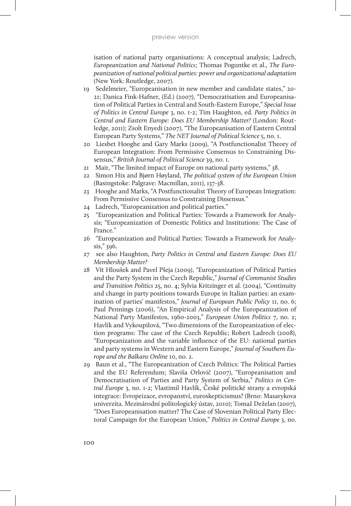isation of national party organisations: A conceptual analysis; Ladrech, *Europeanization and National Politics*; Thomas Poguntke et al., *The Europeanization of national political parties: power and organizational adaptation* (New York: Routledge, 2007).

- 19 Sedelmeier, "Europeanisation in new member and candidate states," 20- 21; Danica Fink-Hafner, (Ed.) (2007), "Democratisation and Europeanisation of Political Parties in Central and South-Eastern Europe," *Special Issue of Politics in Central Europe* 3, no. 1-2; Tim Haughton, ed. *Party Politics in Central and Eastern Europe: Does EU Membership Matter?* (London: Routledge, 2011); Zsolt Enyedi (2007), "The Europeanisation of Eastern Central European Party Systems," *The NET Journal of Political Science* 5, no. 1.
- 20 Liesbet Hooghe and Gary Marks (2009), "A Postfunctionalist Theory of European Integration: From Permissive Consensus to Constraining Dissensus," *British Journal of Political Science* 39, no. 1.
- 21 Mair, "The limited impact of Europe on national party systems," 38.
- 22 Simon Hix and Bjørn Høyland, *The political system of the European Union* (Basingstoke: Palgrave: Macmillan, 2011), 137-38.
- 23 Hooghe and Marks, "A Postfunctionalist Theory of European Integration: From Permissive Consensus to Constraining Dissensus."
- 24 Ladrech, "Europeanization and political parties."
- 25 "Europeanization and Political Parties: Towards a Framework for Analysis; "Europeanization of Domestic Politics and Institutions: The Case of France."
- 26 "Europeanization and Political Parties: Towards a Framework for Analysis," 396.
- 27 see also Haughton, *Party Politics in Central and Eastern Europe: Does EU Membership Matter?*
- 28 Vít Hloušek and Pavel Pšeja (2009), "Europeanization of Political Parties and the Party System in the Czech Republic," *Journal of Communist Studies and Transition Politics* 25, no. 4; Sylvia Kritzinger et al. (2004), "Continuity and change in party positions towards Europe in Italian parties: an examination of parties' manifestos," *Journal of European Public Policy* 11, no. 6; Paul Pennings (2006), "An Empirical Analysis of the Europeanization of National Party Manifestos, 1960-2003," *European Union Politics* 7, no. 2; Havlík and Vykoupilová, "Two dimensions of the Europeanization of election programs: The case of the Czech Republic; Robert Ladrech (2008), "Europeanization and the variable influence of the EU: national parties and party systems in Western and Eastern Europe," *Journal of Southern Europe and the Balkans Online* 10, no. 2.
- 29 Baun et al., "The Europeanization of Czech Politics: The Political Parties and the EU Referendum; Slaviša Orlovič (2007), "Europeanisation and Democratisation of Parties and Party System of Serbia," *Politics in Central Europe* 3, no. 1-2; Vlastimil Havlík, České politické strany a evropská integrace: Evropeizace, evropanství, euroskepticismus? (Brno: Masarykova univerzita. Mezinárodní politologický ústav, 2010); Tomaž Deželan (2007), "Does Europeanisation matter? The Case of Slovenian Political Party Electoral Campaign for the European Union," *Politics in Central Europe* 3, no.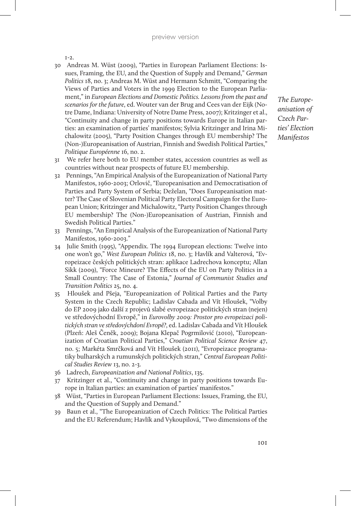$I-2.$ 

- 30 Andreas M. Wüst (2009), "Parties in European Parliament Elections: Issues, Framing, the EU, and the Question of Supply and Demand," *German Politics* 18, no. 3; Andreas M. Wüst and Hermann Schmitt, "Comparing the Views of Parties and Voters in the 1999 Election to the European Parliament," in *European Elections and Domestic Politics. Lessons from the past and scenarios for the future*, ed. Wouter van der Brug and Cees van der Eijk (Notre Dame, Indiana: University of Notre Dame Press, 2007); Kritzinger et al., "Continuity and change in party positions towards Europe in Italian parties: an examination of parties' manifestos; Sylvia Kritzinger and Irina Michalowitz (2005), "Party Position Changes through EU membership? The (Non-)Europeanisation of Austrian, Finnish and Swedish Political Parties," *Politique Européenne* 16, no. 2.
- 31 We refer here both to EU member states, accession countries as well as countries without near prospects of future EU membership.
- 32 Pennings, "An Empirical Analysis of the Europeanization of National Party Manifestos, 1960-2003; Orlovič, "Europeanisation and Democratisation of Parties and Party System of Serbia; Deželan, "Does Europeanisation matter? The Case of Slovenian Political Party Electoral Campaign for the European Union; Kritzinger and Michalowitz, "Party Position Changes through EU membership? The (Non-)Europeanisation of Austrian, Finnish and Swedish Political Parties."
- 33 Pennings, "An Empirical Analysis of the Europeanization of National Party Manifestos, 1960-2003."
- 34 Julie Smith (1995), "Appendix. The 1994 European elections: Twelve into one won't go," *West European Politics* 18, no. 3; Havlík and Valterová, "Evropeizace českých politických stran: aplikace Ladrechova konceptu; Allan Sikk (2009), "Force Mineure? The Effects of the EU on Party Politics in a Small Country: The Case of Estonia," *Journal of Communist Studies and Transition Politics* 25, no. 4.
- 35 Hloušek and Pšeja, "Europeanization of Political Parties and the Party System in the Czech Republic; Ladislav Cabada and Vít Hloušek, "Volby do EP 2009 jako další z projevů slabé evropeizace politických stran (nejen) ve středovýchodní Evropě," in *Eurovolby 2009: Prostor pro evropeizaci politických stran ve středovýchdoní Evropě?*, ed. Ladislav Cabada and Vít Hloušek (Plzeň: Aleš Čeněk, 2009); Bojana Klepač Pogrmilović (2010), "Europeanization of Croatian Political Parties," *Croatian Political Science Review* 47, no. 5; Markéta Smrčková and Vít Hloušek (2011), "Evropeizace programatiky bulharských a rumunských politických stran," *Central European Political Studies Review* 13, no. 2-3.
- 36 Ladrech, *Europeanization and National Politics*, 135.
- 37 Kritzinger et al., "Continuity and change in party positions towards Europe in Italian parties: an examination of parties' manifestos."
- 38 Wüst, "Parties in European Parliament Elections: Issues, Framing, the EU, and the Question of Supply and Demand."
- 39 Baun et al., "The Europeanization of Czech Politics: The Political Parties and the EU Referendum; Havlík and Vykoupilová, "Two dimensions of the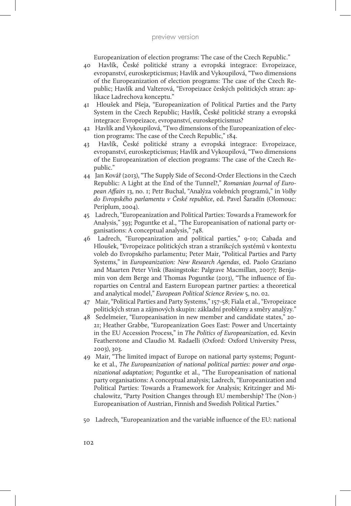Europeanization of election programs: The case of the Czech Republic."

- 40 Havlík, České politické strany a evropská integrace: Evropeizace, evropanství, euroskepticismus; Havlík and Vykoupilová, "Two dimensions of the Europeanization of election programs: The case of the Czech Republic; Havlík and Valterová, "Evropeizace českých politických stran: aplikace Ladrechova konceptu."
- 41 Hloušek and Pšeja, "Europeanization of Political Parties and the Party System in the Czech Republic; Havlík, České politické strany a evropská integrace: Evropeizace, evropanství, euroskepticismus?
- 42 Havlík and Vykoupilová, "Two dimensions of the Europeanization of election programs: The case of the Czech Republic," 184.
- 43 Havlík, České politické strany a evropská integrace: Evropeizace, evropanství, euroskepticismus; Havlík and Vykoupilová, "Two dimensions of the Europeanization of election programs: The case of the Czech Republic."
- 44 Jan Kovář (2013), "The Supply Side of Second-Order Elections in the Czech Republic: A Light at the End of the Tunnel?," *Romanian Journal of European Affairs* 13, no. 1; Petr Buchal, "Analýza volebních programů," in *Volby do Evropského parlamentu v České republice*, ed. Pavel Šaradín (Olomouc: Periplum, 2004).
- 45 Ladrech, "Europeanization and Political Parties: Towards a Framework for Analysis," 393; Poguntke et al., "The Europeanisation of national party organisations: A conceptual analysis," 748.
- 46 Ladrech, "Europeanization and political parties," 9-10; Cabada and Hloušek, "Evropeizace politických stran a stranikcých systémů v kontextu voleb do Evropského parlamentu; Peter Mair, "Political Parties and Party Systems," in *Europeanization: New Research Agendas*, ed. Paolo Graziano and Maarten Peter Vink (Basingstoke: Palgrave Macmillan, 2007); Benjamin von dem Berge and Thomas Poguntke (2013), "The influence of Europarties on Central and Eastern European partner parties: a theoretical and analytical model," *European Political Science Review* 5, no. 02.
- 47 Mair, "Political Parties and Party Systems," 157-58; Fiala et al., "Evropeizace politických stran a zájmových skupin: základní problémy a směry analýzy."
- 48 Sedelmeier, "Europeanisation in new member and candidate states," 20- 21; Heather Grabbe, "Europeanization Goes East: Power and Uncertainty in the EU Accession Process," in *The Politics of Europeanization*, ed. Kevin Featherstone and Claudio M. Radaelli (Oxford: Oxford University Press, 2003), 303.
- 49 Mair, "The limited impact of Europe on national party systems; Poguntke et al., *The Europeanization of national political parties: power and organizational adaptation*; Poguntke et al., "The Europeanisation of national party organisations: A conceptual analysis; Ladrech, "Europeanization and Political Parties: Towards a Framework for Analysis; Kritzinger and Michalowitz, "Party Position Changes through EU membership? The (Non-) Europeanisation of Austrian, Finnish and Swedish Political Parties."
- 50 Ladrech, "Europeanization and the variable influence of the EU: national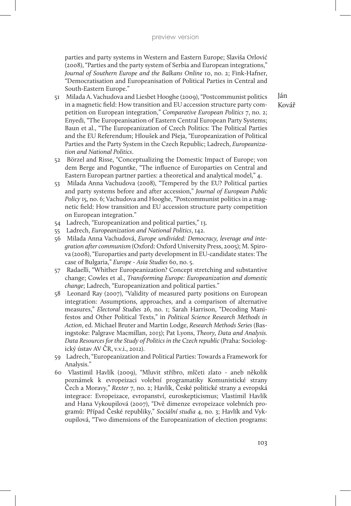parties and party systems in Western and Eastern Europe; Slaviša Orlović (2008), "Parties and the party system of Serbia and European integrations," *Journal of Southern Europe and the Balkans Online* 10, no. 2; Fink-Hafner, "Democratisation and Europeanisation of Political Parties in Central and South-Eastern Europe."

- 51 Milada A. Vachudova and Liesbet Hooghe (2009), "Postcommunist politics in a magnetic field: How transition and EU accession structure party competition on European integration," *Comparative European Politics* 7, no. 2; Enyedi, "The Europeanisation of Eastern Central European Party Systems; Baun et al., "The Europeanization of Czech Politics: The Political Parties and the EU Referendum; Hloušek and Pšeja, "Europeanization of Political Parties and the Party System in the Czech Republic; Ladrech, *Europeanization and National Politics*.
- 52 Börzel and Risse, "Conceptualizing the Domestic Impact of Europe; von dem Berge and Poguntke, "The influence of Europarties on Central and Eastern European partner parties: a theoretical and analytical model," 4.
- 53 Milada Anna Vachudova (2008), "Tempered by the EU? Political parties and party systems before and after accession," *Journal of European Public Policy* 15, no. 6; Vachudova and Hooghe, "Postcommunist politics in a magnetic field: How transition and EU accession structure party competition on European integration."
- 54 Ladrech, "Europeanization and political parties," 13.
- 55 Ladrech, *Europeanization and National Politics*, 142.
- 56 Milada Anna Vachudová, *Europe undivided: Democracy, leverage and integration after communism* (Oxford: Oxford University Press, 2005); M. Spirova (2008), "Europarties and party development in EU-candidate states: The case of Bulgaria," *Europe - Asia Studies* 60, no. 5.
- 57 Radaelli, "Whither Europeanization? Concept stretching and substantive change; Cowles et al., *Transforming Europe: Europeanization and domestic change*; Ladrech, "Europeanization and political parties."
- 58 Leonard Ray (2007), "Validity of measured party positions on European integration: Assumptions, approaches, and a comparison of alternative measures," *Electoral Studies* 26, no. 1; Sarah Harrison, "Decoding Manifestos and Other Political Texts," in *Political Science Research Methods in Action*, ed. Michael Bruter and Martin Lodge, *Research Methods Series* (Basingstoke: Palgrave Macmillan, 2013); Pat Lyons, *Theory, Data and Analysis. Data Resources for the Study of Politics in the Czech republic* (Praha: Sociologický ústav AV ČR, v.v.i., 2012).
- 59 Ladrech, "Europeanization and Political Parties: Towards a Framework for Analysis."
- 60 Vlastimil Havlík (2009), "Mluvit stříbro, mlčeti zlato aneb několik poznámek k evropeizaci volební programatiky Komunistické strany Čech a Moravy," *Rexter* 7, no. 2; Havlík, České politické strany a evropská integrace: Evropeizace, evropanství, euroskepticismus; Vlastimil Havlík and Hana Vykoupilová (2007), "Dvě dimenze evropeizace volebních programů: Případ České republiky," *Sociální studia* 4, no. 3; Havlík and Vykoupilová, "Two dimensions of the Europeanization of election programs: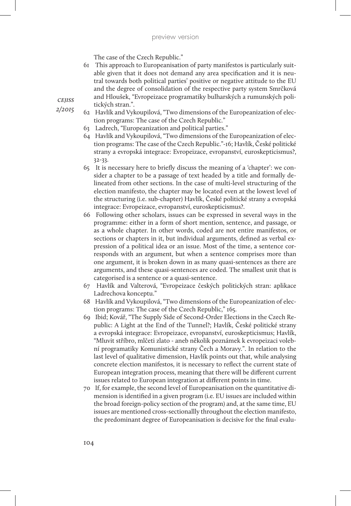The case of the Czech Republic."

- 61 This approach to Europeanisation of party manifestos is particularly suitable given that it does not demand any area specification and it is neutral towards both political parties' positive or negative attitude to the EU and the degree of consolidation of the respective party system Smrčková and Hloušek, "Evropeizace programatiky bulharských a rumunských politických stran.".
- 62 Havlík and Vykoupilová, "Two dimensions of the Europeanization of election programs: The case of the Czech Republic."
	- 63 Ladrech, "Europeanization and political parties."
	- 64 Havlík and Vykoupilová, "Two dimensions of the Europeanization of election programs: The case of the Czech Republic."-16; Havlík, České politické strany a evropská integrace: Evropeizace, evropanství, euroskepticismus?, 32-33.
	- 65 It is necessary here to briefly discuss the meaning of a 'chapter': we consider a chapter to be a passage of text headed by a title and formally delineated from other sections. In the case of multi-level structuring of the election manifesto, the chapter may be located even at the lowest level of the structuring (i.e. sub-chapter) Havlík, České politické strany a evropská integrace: Evropeizace, evropanství, euroskepticismus?.
	- 66 Following other scholars, issues can be expressed in several ways in the programme: either in a form of short mention, sentence, and passage, or as a whole chapter. In other words, coded are not entire manifestos, or sections or chapters in it, but individual arguments, defined as verbal expression of a political idea or an issue. Most of the time, a sentence corresponds with an argument, but when a sentence comprises more than one argument, it is broken down in as many quasi-sentences as there are arguments, and these quasi-sentences are coded. The smallest unit that is categorised is a sentence or a quasi-sentence.
	- 67 Havlík and Valterová, "Evropeizace českých politických stran: aplikace Ladrechova konceptu."
	- 68 Havlík and Vykoupilová, "Two dimensions of the Europeanization of election programs: The case of the Czech Republic," 165.
	- 69 Ibid; Kovář, "The Supply Side of Second-Order Elections in the Czech Republic: A Light at the End of the Tunnel?; Havlík, České politické strany a evropská integrace: Evropeizace, evropanství, euroskepticismus; Havlík, "Mluvit stříbro, mlčeti zlato - aneb několik poznámek k evropeizaci volební programatiky Komunistické strany Čech a Moravy.". In relation to the last level of qualitative dimension, Havlík points out that, while analysing concrete election manifestos, it is necessary to reflect the current state of European integration process, meaning that there will be different current issues related to European integration at different points in time.
	- 70 If, for example, the second level of Europeanisation on the quantitative dimension is identified in a given program (i.e. EU issues are included within the broad foreign-policy section of the program) and, at the same time, EU issues are mentioned cross-sectionallly throughout the election manifesto, the predominant degree of Europeanisation is decisive for the final evalu-

*cejiss*

*2/2015*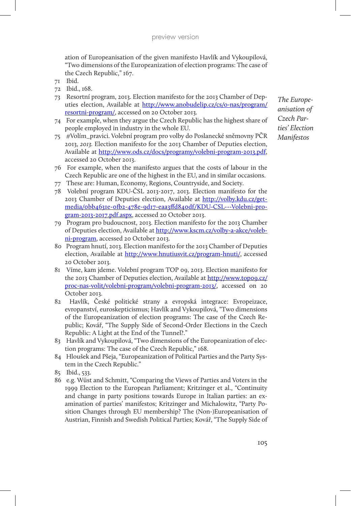ation of Europeanisation of the given manifesto Havlík and Vykoupilová, "Two dimensions of the Europeanization of election programs: The case of the Czech Republic," 167.

- 71 Ibid.
- 72 Ibid., 168.
- 73 Resortní program, 2013. Election manifesto for the 2013 Chamber of Deputies election, Available at http://www.anobudelip.cz/cs/o-nas/program/ resortni-program/, accessed on 20 October 2013.
- 74 For example, when they argue the Czech Republic has the highest share of people employed in industry in the whole EU.
- 75 *#*Volím\_pravici. Volební program pro volby do Poslanecké sněmovny PČR 2013, *2013.* Election manifesto for the 2013 Chamber of Deputies election, Available at http://www.ods.cz/docs/programy/volebni-program-2013.pdf, accessed 20 October 2013.
- 76 For example, when the manifesto argues that the costs of labour in the Czech Republic are one of the highest in the EU, and in similar occasions.
- 77 These are: Human, Economy, Regions, Countryside, and Society.
- 78 Volební program KDU-ČSL 2013-2017, 2013. Election manifesto for the 2013 Chamber of Deputies election, Available at http://volby.kdu.cz/getmedia/0bb4631e-0fb2-478e-9d17-eaa3ffd840df/KDU-CSL---Volebni-program-2013-2017.pdf.aspx, accessed 20 October 2013.
- 79 Program pro budoucnost, 2013. Election manifesto for the 2013 Chamber of Deputies election, Available at http://www.kscm.cz/volby-a-akce/volebni-program, accessed 20 October 2013.
- 80 Program hnutí, 2013. Election manifesto for the 2013 Chamber of Deputies election, Available at http://www.hnutiusvit.cz/program-hnuti/, accessed 20 October 2013.
- 81 Víme, kam jdeme. Volební program TOP 09, 2013. Election manifesto for the 2013 Chamber of Deputies election, Available at http://www.top09.cz/ proc-nas-volit/volebni-program/volebni-program-2013/, accessed on 20 October 2013.
- 82 Havlík, České politické strany a evropská integrace: Evropeizace, evropanství, euroskepticismus; Havlík and Vykoupilová, "Two dimensions of the Europeanization of election programs: The case of the Czech Republic; Kovář, "The Supply Side of Second-Order Elections in the Czech Republic: A Light at the End of the Tunnel?."
- 83 Havlík and Vykoupilová, "Two dimensions of the Europeanization of election programs: The case of the Czech Republic," 168.
- 84 Hloušek and Pšeja, "Europeanization of Political Parties and the Party System in the Czech Republic."
- 85 Ibid., 533.
- 86 e.g. Wüst and Schmitt, "Comparing the Views of Parties and Voters in the 1999 Election to the European Parliament; Kritzinger et al., "Continuity and change in party positions towards Europe in Italian parties: an examination of parties' manifestos; Kritzinger and Michalowitz, "Party Position Changes through EU membership? The (Non-)Europeanisation of Austrian, Finnish and Swedish Political Parties; Kovář, "The Supply Side of